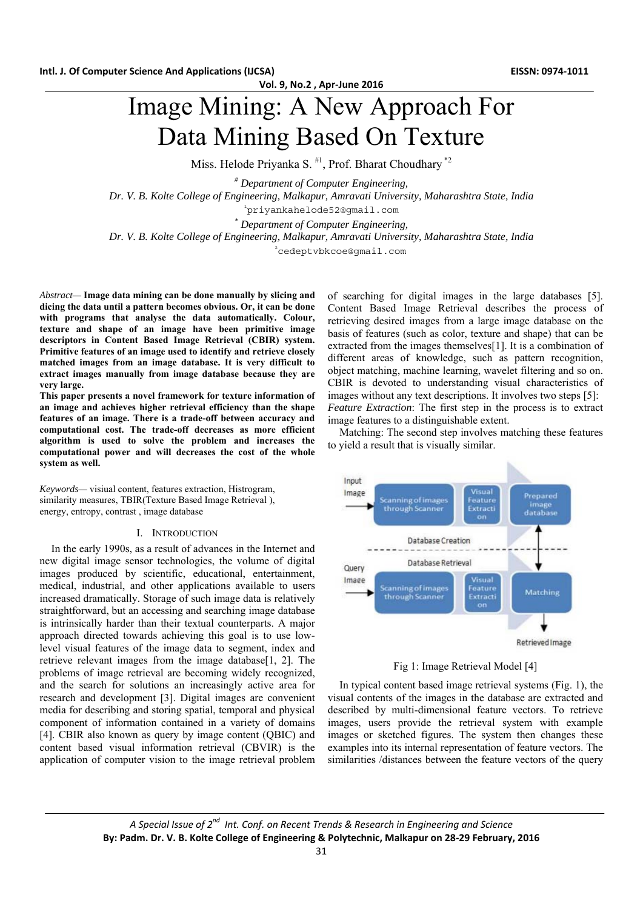# Image Mining: A New Approach For Data Mining Based On Texture

Miss. Helode Priyanka S.<sup>#1</sup>, Prof. Bharat Choudhary<sup>\*2</sup>

*# Department of Computer Engineering, Dr. V. B. Kolte College of Engineering, Malkapur, Amravati University, Maharashtra State, India* 1 priyankahelode52@gmail.com

*\* Department of Computer Engineering, Dr. V. B. Kolte College of Engineering, Malkapur, Amravati University, Maharashtra State, India* 2 cedeptvbkcoe@gmail.com

*Abstract—* **Image data mining can be done manually by slicing and dicing the data until a pattern becomes obvious. Or, it can be done with programs that analyse the data automatically. Colour, texture and shape of an image have been primitive image descriptors in Content Based Image Retrieval (CBIR) system. Primitive features of an image used to identify and retrieve closely matched images from an image database. It is very difficult to extract images manually from image database because they are very large.** 

**This paper presents a novel framework for texture information of an image and achieves higher retrieval efficiency than the shape features of an image. There is a trade-off between accuracy and computational cost. The trade-off decreases as more efficient algorithm is used to solve the problem and increases the computational power and will decreases the cost of the whole system as well.** 

*Keywords—* visiual content, features extraction, Histrogram, similarity measures, TBIR(Texture Based Image Retrieval ), energy, entropy, contrast , image database

### I. INTRODUCTION

In the early 1990s, as a result of advances in the Internet and new digital image sensor technologies, the volume of digital images produced by scientific, educational, entertainment, medical, industrial, and other applications available to users increased dramatically. Storage of such image data is relatively straightforward, but an accessing and searching image database is intrinsically harder than their textual counterparts. A major approach directed towards achieving this goal is to use lowlevel visual features of the image data to segment, index and retrieve relevant images from the image database[1, 2]. The problems of image retrieval are becoming widely recognized, and the search for solutions an increasingly active area for research and development [3]. Digital images are convenient media for describing and storing spatial, temporal and physical component of information contained in a variety of domains [4]. CBIR also known as query by image content (QBIC) and content based visual information retrieval (CBVIR) is the application of computer vision to the image retrieval problem

of searching for digital images in the large databases [5]. Content Based Image Retrieval describes the process of retrieving desired images from a large image database on the basis of features (such as color, texture and shape) that can be extracted from the images themselves[1]. It is a combination of different areas of knowledge, such as pattern recognition, object matching, machine learning, wavelet filtering and so on. CBIR is devoted to understanding visual characteristics of images without any text descriptions. It involves two steps [5]: *Feature Extraction*: The first step in the process is to extract image features to a distinguishable extent.

Matching: The second step involves matching these features to yield a result that is visually similar.



Fig 1: Image Retrieval Model [4]

In typical content based image retrieval systems (Fig. 1), the visual contents of the images in the database are extracted and described by multi-dimensional feature vectors. To retrieve images, users provide the retrieval system with example images or sketched figures. The system then changes these examples into its internal representation of feature vectors. The similarities /distances between the feature vectors of the query

*A Special Issue of 2nd Int. Conf. on Recent Trends & Research in Engineering and Science* **By: Padm. Dr. V. B. Kolte College of Engineering & Polytechnic, Malkapur on 28‐29 February, 2016**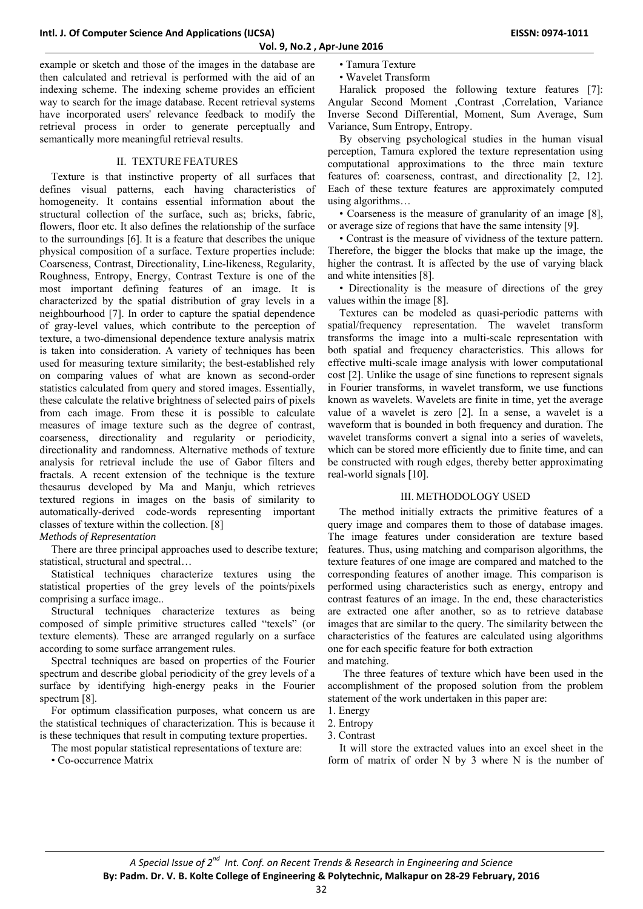**Intl. J. Of Computer Science And Applications (IJCSA) EISSN: 0974‐1011**

example or sketch and those of the images in the database are then calculated and retrieval is performed with the aid of an indexing scheme. The indexing scheme provides an efficient way to search for the image database. Recent retrieval systems have incorporated users' relevance feedback to modify the retrieval process in order to generate perceptually and semantically more meaningful retrieval results.

## II. TEXTURE FEATURES

Texture is that instinctive property of all surfaces that defines visual patterns, each having characteristics of homogeneity. It contains essential information about the structural collection of the surface, such as; bricks, fabric, flowers, floor etc. It also defines the relationship of the surface to the surroundings [6]. It is a feature that describes the unique physical composition of a surface. Texture properties include: Coarseness, Contrast, Directionality, Line-likeness, Regularity, Roughness, Entropy, Energy, Contrast Texture is one of the most important defining features of an image. It is characterized by the spatial distribution of gray levels in a neighbourhood [7]. In order to capture the spatial dependence of gray-level values, which contribute to the perception of texture, a two-dimensional dependence texture analysis matrix is taken into consideration. A variety of techniques has been used for measuring texture similarity; the best-established rely on comparing values of what are known as second-order statistics calculated from query and stored images. Essentially, these calculate the relative brightness of selected pairs of pixels from each image. From these it is possible to calculate measures of image texture such as the degree of contrast, coarseness, directionality and regularity or periodicity, directionality and randomness. Alternative methods of texture analysis for retrieval include the use of Gabor filters and fractals. A recent extension of the technique is the texture thesaurus developed by Ma and Manju, which retrieves textured regions in images on the basis of similarity to automatically-derived code-words representing important classes of texture within the collection. [8]

## *Methods of Representation*

There are three principal approaches used to describe texture; statistical, structural and spectral…

Statistical techniques characterize textures using the statistical properties of the grey levels of the points/pixels comprising a surface image..

Structural techniques characterize textures as being composed of simple primitive structures called "texels" (or texture elements). These are arranged regularly on a surface according to some surface arrangement rules.

Spectral techniques are based on properties of the Fourier spectrum and describe global periodicity of the grey levels of a surface by identifying high-energy peaks in the Fourier spectrum [8].

For optimum classification purposes, what concern us are the statistical techniques of characterization. This is because it is these techniques that result in computing texture properties.

The most popular statistical representations of texture are:

• Co-occurrence Matrix

• Tamura Texture

• Wavelet Transform

Haralick proposed the following texture features [7]: Angular Second Moment ,Contrast ,Correlation, Variance Inverse Second Differential, Moment, Sum Average, Sum Variance, Sum Entropy, Entropy.

By observing psychological studies in the human visual perception, Tamura explored the texture representation using computational approximations to the three main texture features of: coarseness, contrast, and directionality [2, 12]. Each of these texture features are approximately computed using algorithms…

• Coarseness is the measure of granularity of an image [8], or average size of regions that have the same intensity [9].

• Contrast is the measure of vividness of the texture pattern. Therefore, the bigger the blocks that make up the image, the higher the contrast. It is affected by the use of varying black and white intensities [8].

• Directionality is the measure of directions of the grey values within the image [8].

Textures can be modeled as quasi-periodic patterns with spatial/frequency representation. The wavelet transform transforms the image into a multi-scale representation with both spatial and frequency characteristics. This allows for effective multi-scale image analysis with lower computational cost [2]. Unlike the usage of sine functions to represent signals in Fourier transforms, in wavelet transform, we use functions known as wavelets. Wavelets are finite in time, yet the average value of a wavelet is zero [2]. In a sense, a wavelet is a waveform that is bounded in both frequency and duration. The wavelet transforms convert a signal into a series of wavelets, which can be stored more efficiently due to finite time, and can be constructed with rough edges, thereby better approximating real-world signals [10].

## III. METHODOLOGY USED

The method initially extracts the primitive features of a query image and compares them to those of database images. The image features under consideration are texture based features. Thus, using matching and comparison algorithms, the texture features of one image are compared and matched to the corresponding features of another image. This comparison is performed using characteristics such as energy, entropy and contrast features of an image. In the end, these characteristics are extracted one after another, so as to retrieve database images that are similar to the query. The similarity between the characteristics of the features are calculated using algorithms one for each specific feature for both extraction and matching.

The three features of texture which have been used in the accomplishment of the proposed solution from the problem statement of the work undertaken in this paper are:

- 1. Energy
- 2. Entropy
- 3. Contrast

It will store the extracted values into an excel sheet in the form of matrix of order N by 3 where N is the number of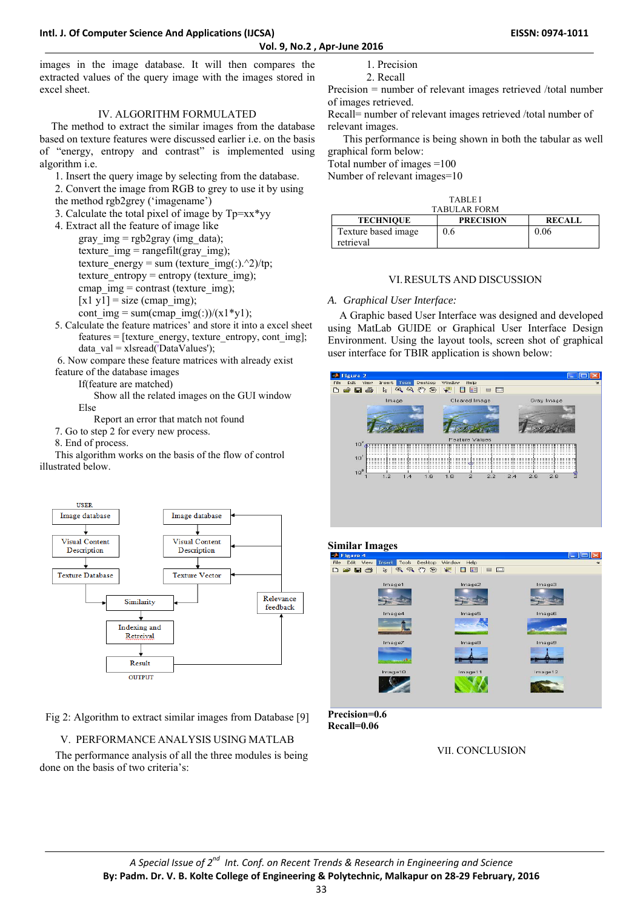images in the image database. It will then compares the extracted values of the query image with the images stored in excel sheet.

# IV. ALGORITHM FORMULATED

The method to extract the similar images from the database based on texture features were discussed earlier i.e. on the basis of "energy, entropy and contrast" is implemented using algorithm i.e.

- 1. Insert the query image by selecting from the database.
- 2. Convert the image from RGB to grey to use it by using
- the method rgb2grey ('imagename')
- 3. Calculate the total pixel of image by Tp=xx\*yy
- 4. Extract all the feature of image like
	- gray  $img = rgb2gray (img data);$ texture  $img = rangefilt(grayimg);$ texture\_energy = sum (texture\_img(:).^2)/tp; texture entropy = entropy (texture img); cmap  $img =$  contrast (texture  $img$ );  $[x1 y1]$  = size (cmap\_img); cont img = sum(cmap img(:))/(x1\*y1);
- 5. Calculate the feature matrices' and store it into a excel sheet  $features = [texture\_energy, texture\_entropy, cont\_img]$ ; data\_val = xlsread('DataValues');
- 6. Now compare these feature matrices with already exist feature of the database images

If(feature are matched)

Show all the related images on the GUI window Else

Report an error that match not found

7. Go to step 2 for every new process.

8. End of process.

This algorithm works on the basis of the flow of control illustrated below.



Fig 2: Algorithm to extract similar images from Database [9]

# V. PERFORMANCE ANALYSIS USING MATLAB

The performance analysis of all the three modules is being done on the basis of two criteria's:



2. Recall

Precision = number of relevant images retrieved /total number of images retrieved.

Recall= number of relevant images retrieved /total number of relevant images.

This performance is being shown in both the tabular as well graphical form below:

Total number of images =100

Number of relevant images=10

| <b>TABLEI</b><br><b>TABULAR FORM</b> |                  |               |
|--------------------------------------|------------------|---------------|
| <b>TECHNIQUE</b>                     | <b>PRECISION</b> | <b>RECALL</b> |
| Texture based image<br>retrieval     | 0.6              | 0.06          |

# VI.RESULTS AND DISCUSSION

# *A. Graphical User Interface:*

A Graphic based User Interface was designed and developed using MatLab GUIDE or Graphical User Interface Design Environment. Using the layout tools, screen shot of graphical user interface for TBIR application is shown below:





**Precision=0.6 Recall=0.06**

VII. CONCLUSION